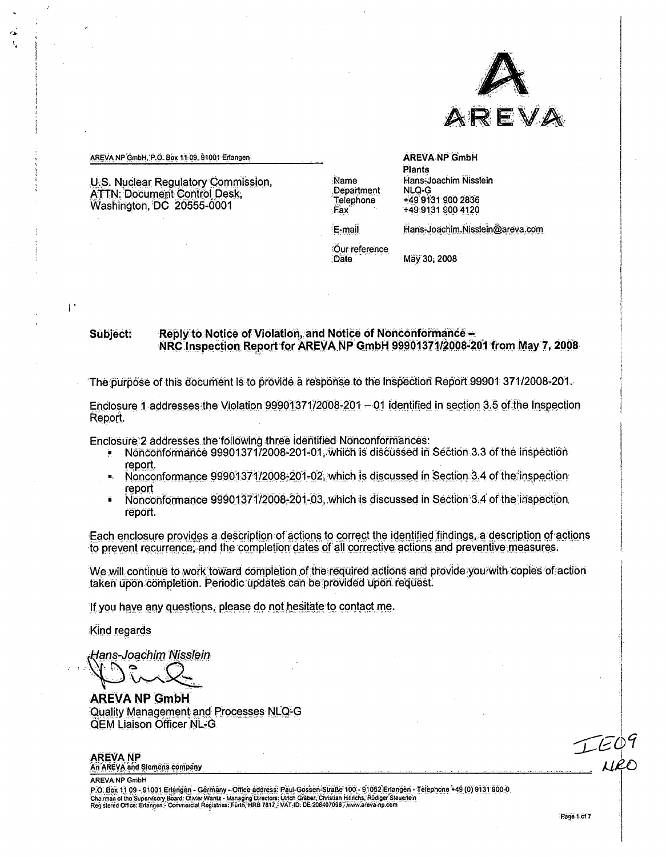

#### AREVA NP GmbH, P.O. Box 11:09, 91001 Erlangen

 $\alpha$ 

 $\mathbf{I}$ 

U.S. Nuclear Regulatory Commission, **ATTN: Document Control Desk,** Washington, DC 20555-0001

Name Department Telephone :Fax

**AREVA NP GmbH Plants** Hans-Joachim Nisslein NLQ-G +49 9131 900 2836 +49 9131 900 4120

E-mail

Hans-Joachim.Nisslein@areva.com

Our reference Date

May 30, 2008

#### Reply to Notice of Violation, and Notice of Nonconformance -Subject: NRC Inspection Report for AREVA NP GmbH 99901371/2008-201 from May 7, 2008.

The burbose of this document is to provide a response to the Inspection Report 99901 371/2008-201.

Enclosure 1 addresses the Violation 99901371/2008-201 - 01 identified in section 3.5 of the Inspection Report.

Enclosure 2 addresses the following three identified Nonconformances:

- Nonconformance 99901371/2008-201-01, which is discussed in Section 3.3 of the inspection report.
- Nonconformance 99901371/2008-201-02, which is discussed in Section 3.4 of the inspection report
- Nonconformance 99901371/2008-201-03, which is discussed in Section 3.4 of the inspection report.

Each enclosure provides a description of actions to correct the identified findings, a description of actions to prevent recurrence, and the completion dates of all corrective actions and preventive measures.

We will continue to work toward completion of the required actions and provide you with copies of action taken upon completion. Periodic updates can be provided upon request.

If you have any questions, please do not hesitate to contact me.

Kind regards

Hans-Joachim Nisslein

**AREVA NP GmbH** Quality Management and Processes NLQ-G **QEM Liaison Officer NL-G** 

**AREVANP** An AREVA and Slemens company

**AREVA NP GmbH** 

P.O. Box 11 09 - 91001 Erlanden - Germany - Office address: Paul-Gossen-Straße 100 - 91052 Erlangen - Telephone +49 (0) 9131 900-0 Fr.X. Byk 1.0 Viz - 31 Novi England: Officer Wantz - Managing Directors: Favor System Constant House II, Britannia (1999)<br>Chairman of the Supervisory Board: Officer Wantz - Managing Directors: Ulrich Graber, Christian Hilf

 $1125$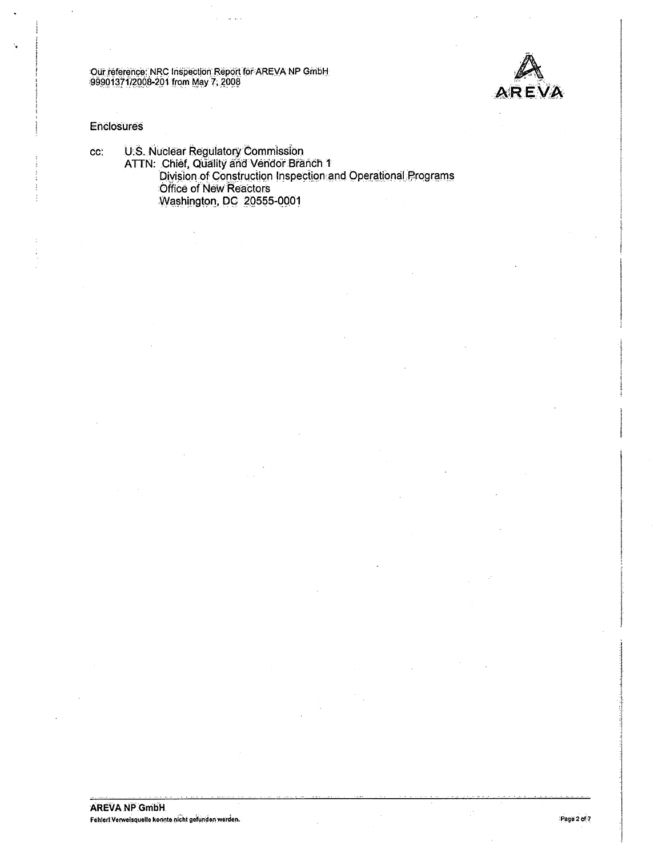

#### Enclosures

U.S. Nuclear Regulatory Commission<br>ATTN: Chief, Quality and Vendor Branch 1<br>Division of Construction Inspection and Operational Programs CC: Office of New Reactors Washington, DC 20555-0001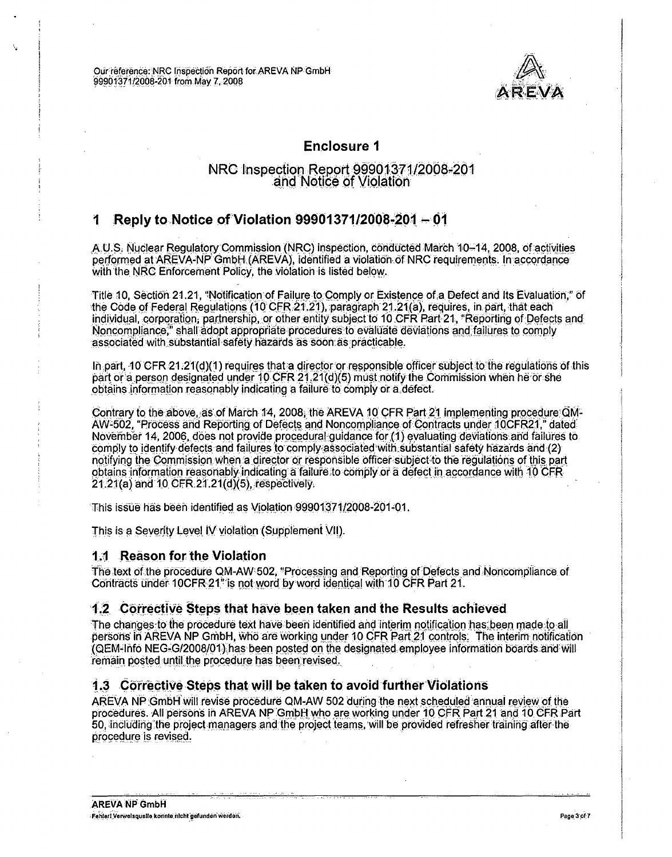

## **Enclosure 1**

## NRC Inspection Report 99901371/2008-201 and Notice of Violation

#### Reply to Notice of Violation 99901371/2008-201 - 01 1

A.U.S. Nuclear Regulatory Commission (NRC) inspection, conducted March 10-14, 2008, of activities performed at AREVA-NP GmbH (AREVA), identified a violation of NRC requirements. In accordance with the NRC Enforcement Policy, the violation is listed below.

Title 10, Section 21.21, "Notification of Failure to Comply or Existence of a Defect and Its Evaluation." of the Code of Federal Regulations (10 CFR 21.21), paragraph 21.21(a), requires, in part, that each individual, corporation, partnership, or other entity subject to 10 CFR Part 21, "Reporting of Defects and Noncompliance," shall adopt appropriate procedures to evaluate deviations and failures to comply associated with substantial safety hazards as soon as practicable.

In part, 10 CFR 21:21(d)(1) requires that a director or responsible officer subject to the requiations of this part or a person designated under 10 CFR 21.21(d)(5) must notify the Commission when he or she obtains information reasonably indicating a failure to comply or a defect.

Contrary to the above, as of March 14, 2008, the AREVA 10 CFR Part 21 implementing procedure OM-AW-502, "Process and Reporting of Defects and Noncompliance of Contracts under 10CFR21," dated November 14, 2006, does not provide procedural guidance for (1) evaluating deviations and failures to comply to identify defects and failures to comply associated with substantial safety hazards and (2) notifying the Commission when a director or responsible officer subject to the regulations of this part obtains information reasonably indicating a failure to comply or a defect in accordance with 10 CFR 21.21(a) and 10 CFR 21.21(d)(5), respectively.

This issue has been identified as Violation 99901371/2008-201-01.

This is a Severity Level IV violation (Supplement VII).

## 1.1 Reason for the Violation

The text of the procedure QM-AW 502, "Processing and Reporting of Defects and Noncompliance of Contracts under 10CFR 21" is not word by word identical with 10 CFR Part 21.

## 1.2 Corrective Steps that have been taken and the Results achieved

The changes to the procedure text have been identified and interim notification has been made to all persons in AREVA NP GmbH, who are working under 10 CFR Part 21 controls. The interim notification (QEM-Info NEG-G/2008/01) has been posted on the designated employee information boards and will remain posted until the procedure has been revised.

## 1.3 Corrective Steps that will be taken to avoid further Violations

AREVA NP GmbH will revise procedure QM-AW 502 during the next scheduled annual review of the procedures. All persons in AREVA NP GmbH who are working under 10 CFR Part 21 and 10 CFR Part 50, including the project managers and the project teams, will be provided refresher training after the procedure is revised.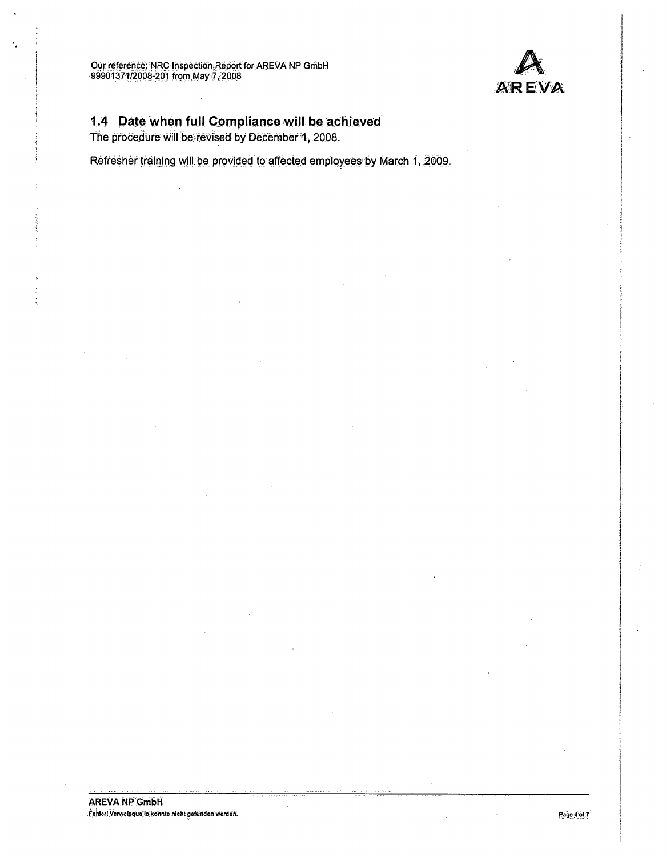

# 1.4 Date When full Compliance will be achieved

The procedure will be revised by December 1, 2008.

Refresher training will be provided to affected employees by March 1, 2009.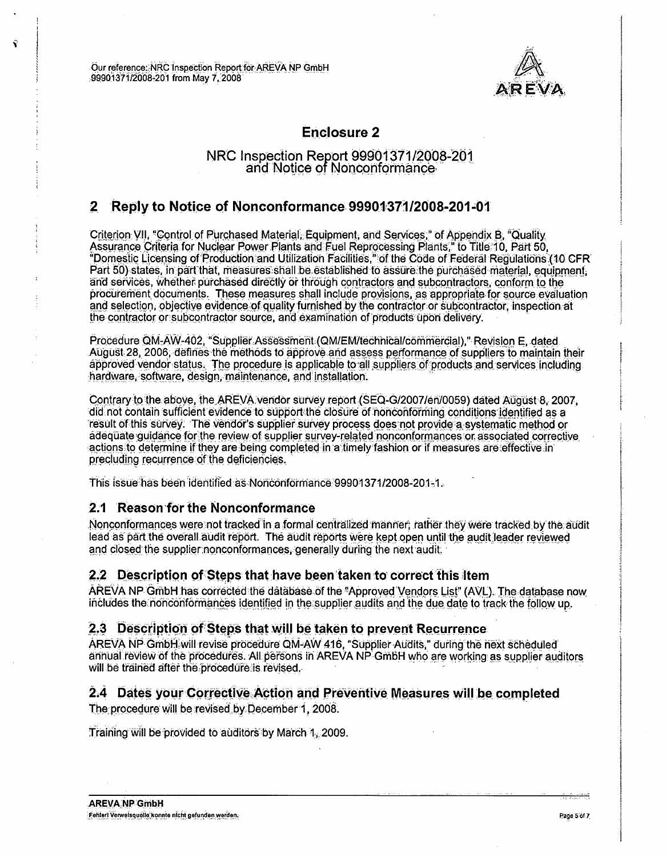

# **Enclosure 2**

## NRC Inspection Report 99901371/2008-201 and Notice of Nonconformance

## 2 Reply to Notice of Nonconformance 99901371/2008-201-01

Criterion VII, "Control of Purchased Material, Equipment, and Services," of Appendix B, "Quality Assurance Criteria for Nuclear Power Plants and Fuel Reprocessing Plants," to Title 10, Part 50,<br>"Domestic Licensing of Production and Utilization Facilities," of the Code of Federal Regulations (10 CFR) Part 50) states, in part that, measures shall be established to assure the purchased material, equipment, and services, whether purchased directly or through contractors and subcontractors, conform to the procurement documents. These measures shall include provisions, as appropriate for source evaluation and selection, objective evidence of quality furnished by the contractor or subcontractor. Inspection at the contractor or subcontractor source, and examination of products upon delivery.

Procedure QM-AW-402, "Supplier Assessment (QM/EM/technical/commercial)," Revision E. dated August 28, 2006, defines the methods to approve and assess performance of suppliers to maintain their approved vendor status. The procedure is applicable to all suppliers of products and services including hardware, software, design, maintenance, and installation.

Contrary to the above, the AREVA vendor survey report (SEQ-G/2007/en/0059) dated August 8, 2007. did not contain sufficient evidence to support the closure of nonconforming conditions identified as a result of this survey. The vendor's supplier survey process does not provide a systematic method or adequate guidance for the review of supplier survey-related nonconformances or associated corrective actions to determine if they are being completed in a timely fashion or if measures are effective in precluding recurrence of the deficiencies.

This issue has been identified as Nonconformance 99901371/2008-201-1.

## 2.1 Reason for the Nonconformance

Nonconformances were not tracked in a formal centralized manner; rather they were tracked by the audit lead as part the overall audit report. The audit reports were kept open until the audit leader reviewed and closed the supplier nonconformances, generally during the next audit.

## 2.2 Description of Steps that have been taken to correct this item

AREVA NP GmbH has corrected the database of the "Approved Vendors List" (AVL). The database now includes the nonconformances identified in the supplier audits and the due date to track the follow up.

## 2.3 Description of Steps that will be taken to prevent Recurrence

AREVA NP GmbH will revise procedure QM-AW 416, "Supplier Audits," during the next scheduled annual review of the procedures. All persons in AREVA NP GmbH who are working as supplier auditors will be trained after the procedure is revised.

## 2.4 Dates your Corrective Action and Preventive Measures will be completed

The procedure will be revised by December 1, 2008.

Training will be provided to auditors by March 1, 2009.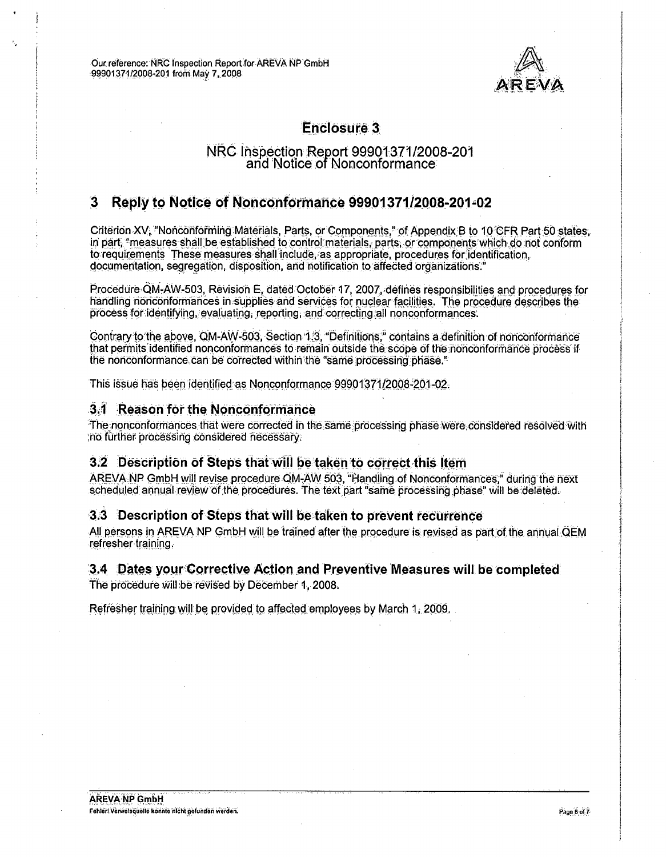

# **Enclosure 3**

## NRC Inspection Report 99901371/2008-201 and Notice of Nonconformance

#### **Reply to Notice of Nonconformance 99901371/2008-201-02**  $\mathbf{3}$

Criterion XV, "Nonconforming Materials, Parts, or Components," of Appendix B to 10 CFR Part 50 states, in part, "measures shall be established to control materials, parts, or components which do not conform to requirements These measures shall include, as appropriate, procedures for identification. documentation, segregation, disposition, and notification to affected organizations."

Procedure QM-AW-503, Revision E, dated October 17, 2007, defines responsibilities and procedures for handling nonconformances in supplies and services for nuclear facilities. The procedure describes the process for identifying, evaluating, reporting, and correcting all nonconformances.

Contrary to the above, QM-AW-503, Section 1.3, "Definitions," contains a definition of nonconformance that permits identified nonconformances to remain outside the scope of the nonconformance process if the nonconformance can be corrected within the "same processing phase."

This issue has been identified as Nonconformance 99901371/2008-201-02.

## 3.1 Reason for the Nonconformance

The nonconformances that were corrected in the same processing phase were considered resolved with no further processing considered necessary.

## 3.2 Description of Steps that will be taken to correct this Item

AREVA NP GmbH will revise procedure QM-AW 503. "Handling of Nonconformances." during the next scheduled annual review of the procedures. The text part "same processing phase" will be deleted.

## 3.3 Description of Steps that will be taken to prevent recurrence

All persons in AREVA NP GmbH will be trained after the procedure is revised as part of the annual QEM refresher training.

## 3.4 Dates your Corrective Action and Preventive Measures will be completed

The procedure will be revised by December 1, 2008.

Refresher training will be provided to affected employees by March 1, 2009.